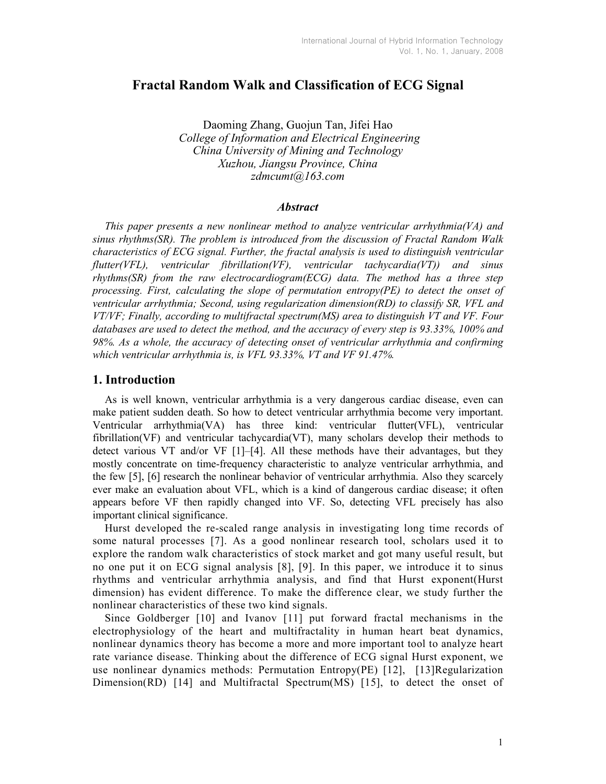# Fractal Random Walk and Classification of ECG Signal

Daoming Zhang, Guojun Tan, Jifei Hao College of Information and Electrical Engineering China University of Mining and Technology Xuzhou, Jiangsu Province, China zdmcumt@163.com

### **Abstract**

This paper presents a new nonlinear method to analyze ventricular arrhythmia( $VA$ ) and sinus rhythms(SR). The problem is introduced from the discussion of Fractal Random Walk characteristics of ECG signal. Further, the fractal analysis is used to distinguish ventricular flutter(VFL), ventricular fibrillation(VF), ventricular tachycardia(VT)) and sinus rhythms(SR) from the raw electrocardiogram(ECG) data. The method has a three step processing. First, calculating the slope of permutation entropy( $PE$ ) to detect the onset of ventricular arrhythmia; Second, using regularization dimension(RD) to classify SR, VFL and  $VTVF$ ; Finally, according to multifractal spectrum(MS) area to distinguish VT and VF. Four databases are used to detect the method, and the accuracy of every step is 93.33%, 100% and 98%. As a whole, the accuracy of detecting onset of ventricular arrhythmia and confirming which ventricular arrhythmia is, is VFL 93.33%, VT and VF 91.47%.

### 1. Introduction

As is well known, ventricular arrhythmia is a very dangerous cardiac disease, even can make patient sudden death. So how to detect ventricular arrhythmia become very important. Ventricular arrhythmia(VA) has three kind: ventricular flutter(VFL), ventricular fibrillation(VF) and ventricular tachycardia(VT), many scholars develop their methods to detect various VT and/or VF [1]–[4]. All these methods have their advantages, but they mostly concentrate on time-frequency characteristic to analyze ventricular arrhythmia, and the few [5], [6] research the nonlinear behavior of ventricular arrhythmia. Also they scarcely ever make an evaluation about VFL, which is a kind of dangerous cardiac disease; it often appears before VF then rapidly changed into VF. So, detecting VFL precisely has also important clinical significance.

Hurst developed the re-scaled range analysis in investigating long time records of some natural processes [7]. As a good nonlinear research tool, scholars used it to explore the random walk characteristics of stock market and got many useful result, but no one put it on ECG signal analysis [8], [9]. In this paper, we introduce it to sinus rhythms and ventricular arrhythmia analysis, and find that Hurst exponent(Hurst dimension) has evident difference. To make the difference clear, we study further the nonlinear characteristics of these two kind signals.

Since Goldberger [10] and Ivanov [11] put forward fractal mechanisms in the electrophysiology of the heart and multifractality in human heart beat dynamics, nonlinear dynamics theory has become a more and more important tool to analyze heart rate variance disease. Thinking about the difference of ECG signal Hurst exponent, we use nonlinear dynamics methods: Permutation Entropy(PE) [12], [13]Regularization Dimension(RD)  $[14]$  and Multifractal Spectrum(MS)  $[15]$ , to detect the onset of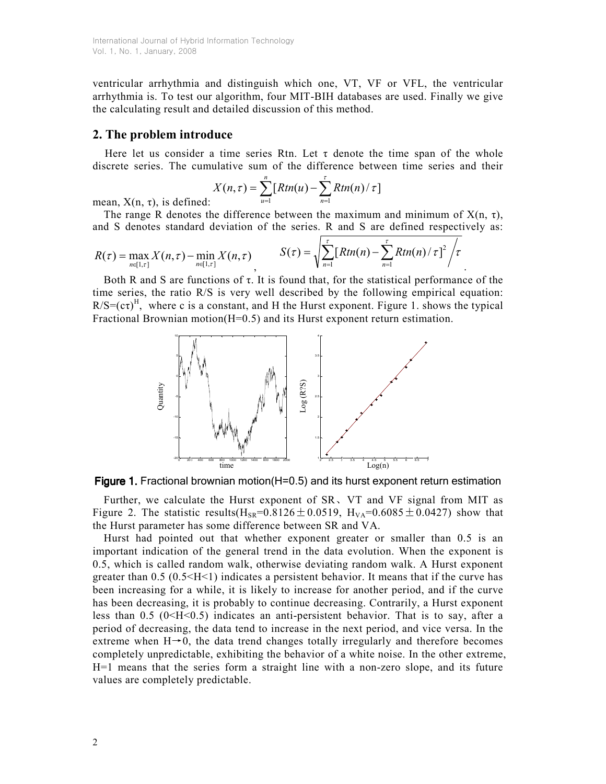ventricular arrhythmia and distinguish which one, VT, VF or VFL, the ventricular arrhythmia is. To test our algorithm, four MIT-BIH databases are used. Finally we give the calculating result and detailed discussion of this method.

## 2. The problem introduce

Here let us consider a time series Rtn. Let  $\tau$  denote the time span of the whole discrete series. The cumulative sum of the difference between time series and their

$$
X(n,\tau)=\sum_{u=1}^n[Rtn(u)-\sum_{n=1}^\tau Rtn(n)/\tau]
$$

mean,  $X(n, \tau)$ , is defined: The range R denotes the difference between the maximum and minimum of  $X(n, \tau)$ , and S denotes standard deviation of the series. R and S are defined respectively as:

$$
R(\tau) = \max_{n \in [1, \tau]} X(n, \tau) - \min_{n \in [1, \tau]} X(n, \tau) \qquad S(\tau) = \sqrt{\sum_{n=1}^{\tau} [Rtn(n) - \sum_{n=1}^{\tau} Rtn(n)/\tau]^2 / \tau}
$$

Both R and S are functions of  $\tau$ . It is found that, for the statistical performance of the time series, the ratio R/S is very well described by the following empirical equation:  $R/S=(c\tau)^H$ , where c is a constant, and H the Hurst exponent. Figure 1. shows the typical Fractional Brownian motion(H=0.5) and its Hurst exponent return estimation.



Figure 1. Fractional brownian motion( $H=0.5$ ) and its hurst exponent return estimation

Further, we calculate the Hurst exponent of SR、VT and VF signal from MIT as Figure 2. The statistic results( $H_{SR} = 0.8126 \pm 0.0519$ ,  $H_{VA} = 0.6085 \pm 0.0427$ ) show that the Hurst parameter has some difference between SR and VA.

Hurst had pointed out that whether exponent greater or smaller than 0.5 is an important indication of the general trend in the data evolution. When the exponent is 0.5, which is called random walk, otherwise deviating random walk. A Hurst exponent greater than 0.5 (0.5<H<1) indicates a persistent behavior. It means that if the curve has been increasing for a while, it is likely to increase for another period, and if the curve has been decreasing, it is probably to continue decreasing. Contrarily, a Hurst exponent less than 0.5 (0<H<0.5) indicates an anti-persistent behavior. That is to say, after a period of decreasing, the data tend to increase in the next period, and vice versa. In the extreme when  $H \rightarrow 0$ , the data trend changes totally irregularly and therefore becomes completely unpredictable, exhibiting the behavior of a white noise. In the other extreme, H=1 means that the series form a straight line with a non-zero slope, and its future values are completely predictable.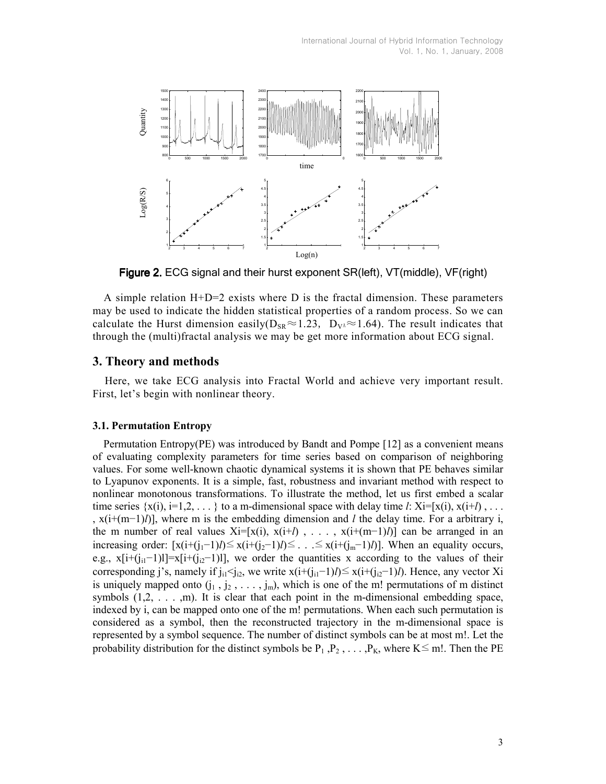

Figure 2. ECG signal and their hurst exponent SR(left), VT(middle), VF(right)

A simple relation  $H+D=2$  exists where D is the fractal dimension. These parameters may be used to indicate the hidden statistical properties of a random process. So we can calculate the Hurst dimension easily( $D_{SR} \approx 1.23$ ,  $D_{VA} \approx 1.64$ ). The result indicates that through the (multi)fractal analysis we may be get more information about ECG signal.

## 3. Theory and methods

Here, we take ECG analysis into Fractal World and achieve very important result. First, let's begin with nonlinear theory.

### 3.1. Permutation Entropy

Permutation Entropy(PE) was introduced by Bandt and Pompe [12] as a convenient means of evaluating complexity parameters for time series based on comparison of neighboring values. For some well-known chaotic dynamical systems it is shown that PE behaves similar to Lyapunov exponents. It is a simple, fast, robustness and invariant method with respect to nonlinear monotonous transformations. To illustrate the method, let us first embed a scalar time series  $\{x(i), i=1,2,\ldots\}$  to a m-dimensional space with delay time l: Xi=[x(i), x(i+l), ... ,  $x(i+(m-1)l)$ ], where m is the embedding dimension and l the delay time. For a arbitrary i, the m number of real values Xi=[x(i), x(i+l), ..., x(i+(m-1)l)] can be arranged in an increasing order:  $[x(i+(j_1-1)l) \leq x(i+(j_2-1)l) \leq ... \leq x(i+(j_m-1)l)]$ . When an equality occurs, e.g., x[i+(j<sub>i1</sub>-1)l]=x[i+(j<sub>i2</sub>-1)l], we order the quantities x according to the values of their corresponding j's, namely if  $j_{i1} \leq j_{i2}$ , we write  $x(i+(j_{i1}-1)l) \leq x(i+(j_{i2}-1)l)$ . Hence, any vector Xi is uniquely mapped onto  $(j_1, j_2, \ldots, j_m)$ , which is one of the m! permutations of m distinct symbols  $(1,2, \ldots, m)$ . It is clear that each point in the m-dimensional embedding space, indexed by i, can be mapped onto one of the m! permutations. When each such permutation is considered as a symbol, then the reconstructed trajectory in the m-dimensional space is represented by a symbol sequence. The number of distinct symbols can be at most m!. Let the **Figure 2.** ECG signal and their hurst exponent SR(left), VT(middle), VF(right)<br>A simple relation H+1D-2 exists where D is the fractal dimension. These parameters<br>ray be used to indicate the hidden statistical properties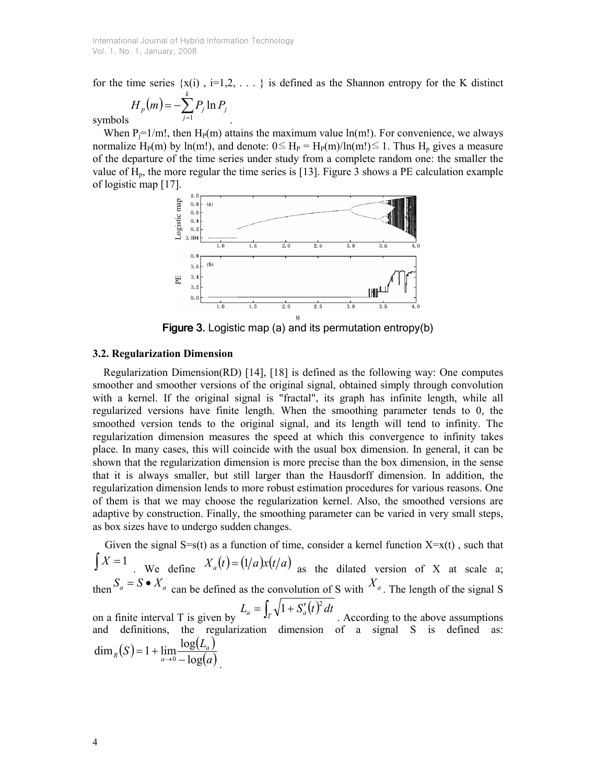.

for the time series  $\{x(i), i=1,2,\ldots\}$  is defined as the Shannon entropy for the K distinct

$$
H_p(m) = -\sum_{j=1}^k P_j \ln P_j
$$

symbols

When  $P_i=1/m!$ , then H<sub>P</sub>(m) attains the maximum value ln(m!). For convenience, we always normalize H<sub>P</sub>(m) by ln(m!), and denote:  $0 \le H_P = H_P(m)/\ln(m!) \le 1$ . Thus H<sub>p</sub> gives a measure of the departure of the time series under study from a complete random one: the smaller the value of  $H_p$ , the more regular the time series is [13]. Figure 3 shows a PE calculation example of logistic map [17].



**Figure 3.** Logistic map (a) and its permutation entropy(b)

### 3.2. Regularization Dimension

Regularization Dimension(RD) [14], [18] is defined as the following way: One computes smoother and smoother versions of the original signal, obtained simply through convolution with a kernel. If the original signal is "fractal", its graph has infinite length, while all regularized versions have finite length. When the smoothing parameter tends to 0, the smoothed version tends to the original signal, and its length will tend to infinity. The regularization dimension measures the speed at which this convergence to infinity takes place. In many cases, this will coincide with the usual box dimension. In general, it can be shown that the regularization dimension is more precise than the box dimension, in the sense that it is always smaller, but still larger than the Hausdorff dimension. In addition, the regularization dimension lends to more robust estimation procedures for various reasons. One of them is that we may choose the regularization kernel. Also, the smoothed versions are adaptive by construction. Finally, the smoothing parameter can be varied in very small steps, as box sizes have to undergo sudden changes.

Given the signal  $S=s(t)$  as a function of time, consider a kernel function  $X=x(t)$ , such that  $\int X = 1$ We define  $X_a(t) = (1/a)x(t/a)$  as the dilated version of X at scale a; then  $S_a = S \cdot X_a$  can be defined as the convolution of S with  $X_a$ . The length of the signal S on a finite interval T is given by  $L_a = \int_T \sqrt{1 + S'_a(t)^2} dt$ . According to the above assumptions and definitions, the regularization dimension of a signal S is defined as:  $(S) = 1 + \lim_{h \to 0} \frac{\log(L_a)}{1 - \log(L_b)}$  $\overline{(a)}$  $S$ ) = 1 + lim $\frac{\log(L_a)}{1 - C}$  $\lim_{a\to 0} -\log$  $\dim_R(S) = 1 + \lim_{h \to 0} \frac{\log_2|S|}{h}$  $\overline{0}$   $= 1 + \lim_{a \to 0}$ .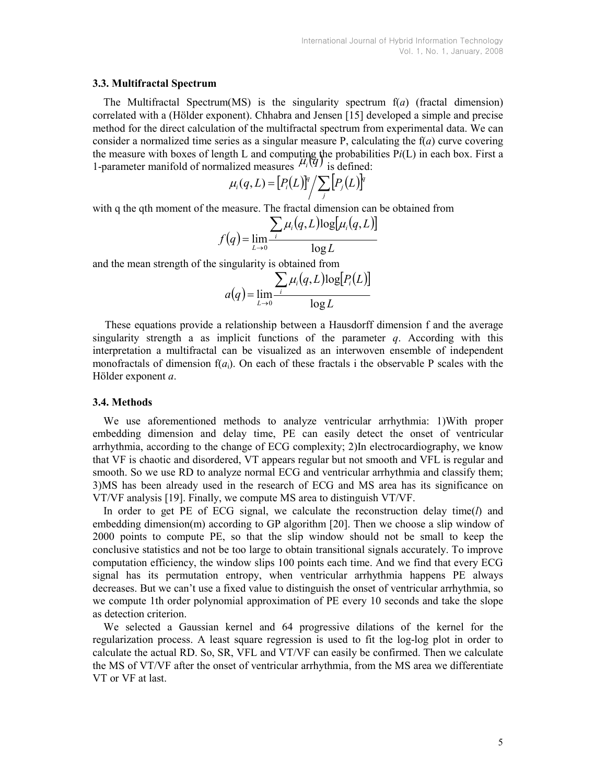#### 3.3. Multifractal Spectrum

The Multifractal Spectrum(MS) is the singularity spectrum  $f(a)$  (fractal dimension) correlated with a (Hölder exponent). Chhabra and Jensen [15] developed a simple and precise method for the direct calculation of the multifractal spectrum from experimental data. We can consider a normalized time series as a singular measure P, calculating the  $f(a)$  curve covering the measure with boxes of length L and computing the probabilities  $Pi(L)$  in each box. First a 1-parameter manifold of normalized measures  $\mu_i(q)$  is defined:

$$
\mu_i(q,L) = [P_i(L)]^q / \sum_j [P_j(L)]^q
$$

with q the qth moment of the measure. The fractal dimension can be obtained from

$$
f(q) = \lim_{L \to 0} \frac{\sum_{i} \mu_i(q, L) \log[\mu_i(q, L)]}{\log L}
$$

and the mean strength of the singularity is obtained from

$$
a(q) = \lim_{L \to 0} \frac{\sum_{i} \mu_i(q, L) \log[P_i(L)]}{\log L}
$$

These equations provide a relationship between a Hausdorff dimension f and the average singularity strength a as implicit functions of the parameter  $q$ . According with this interpretation a multifractal can be visualized as an interwoven ensemble of independent monofractals of dimension  $f(a_i)$ . On each of these fractals i the observable P scales with the Hölder exponent a.

#### 3.4. Methods

We use aforementioned methods to analyze ventricular arrhythmia: 1)With proper embedding dimension and delay time, PE can easily detect the onset of ventricular arrhythmia, according to the change of ECG complexity; 2)In electrocardiography, we know that VF is chaotic and disordered, VT appears regular but not smooth and VFL is regular and smooth. So we use RD to analyze normal ECG and ventricular arrhythmia and classify them; 3)MS has been already used in the research of ECG and MS area has its significance on VT/VF analysis [19]. Finally, we compute MS area to distinguish VT/VF.

In order to get PE of ECG signal, we calculate the reconstruction delay time( $l$ ) and embedding dimension(m) according to GP algorithm [20]. Then we choose a slip window of 2000 points to compute PE, so that the slip window should not be small to keep the conclusive statistics and not be too large to obtain transitional signals accurately. To improve computation efficiency, the window slips 100 points each time. And we find that every ECG signal has its permutation entropy, when ventricular arrhythmia happens PE always decreases. But we can't use a fixed value to distinguish the onset of ventricular arrhythmia, so we compute 1th order polynomial approximation of PE every 10 seconds and take the slope as detection criterion.

We selected a Gaussian kernel and 64 progressive dilations of the kernel for the regularization process. A least square regression is used to fit the log-log plot in order to calculate the actual RD. So, SR, VFL and VT/VF can easily be confirmed. Then we calculate the MS of VT/VF after the onset of ventricular arrhythmia, from the MS area we differentiate VT or VF at last.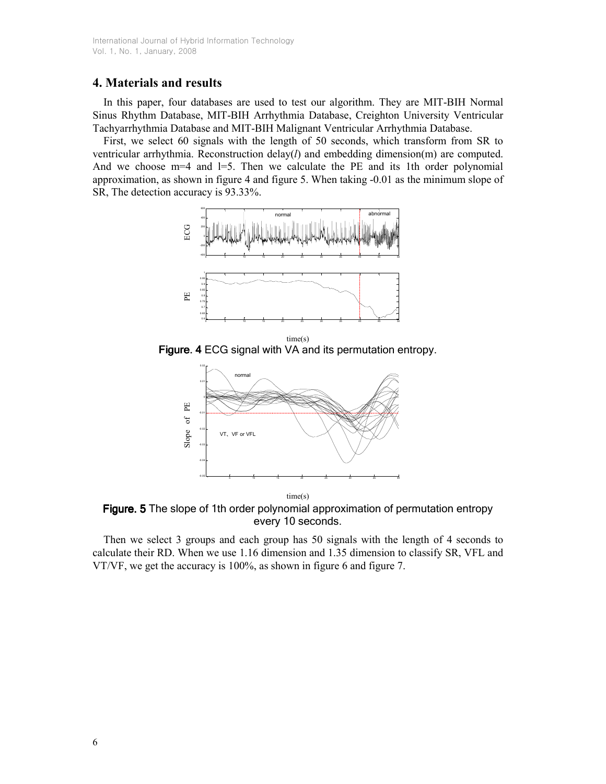# 4. Materials and results

In this paper, four databases are used to test our algorithm. They are MIT-BIH Normal Sinus Rhythm Database, MIT-BIH Arrhythmia Database, Creighton University Ventricular Tachyarrhythmia Database and MIT-BIH Malignant Ventricular Arrhythmia Database.

First, we select 60 signals with the length of 50 seconds, which transform from SR to ventricular arrhythmia. Reconstruction delay $(l)$  and embedding dimension(m) are computed. And we choose  $m=4$  and  $l=5$ . Then we calculate the PE and its 1th order polynomial approximation, as shown in figure 4 and figure 5. When taking -0.01 as the minimum slope of SR, The detection accuracy is 93.33%.



time(s) Figure. 4 ECG signal with VA and its permutation entropy.



Figure. 5 The slope of 1th order polynomial approximation of permutation entropy every 10 seconds.

Then we select 3 groups and each group has 50 signals with the length of 4 seconds to calculate their RD. When we use 1.16 dimension and 1.35 dimension to classify SR, VFL and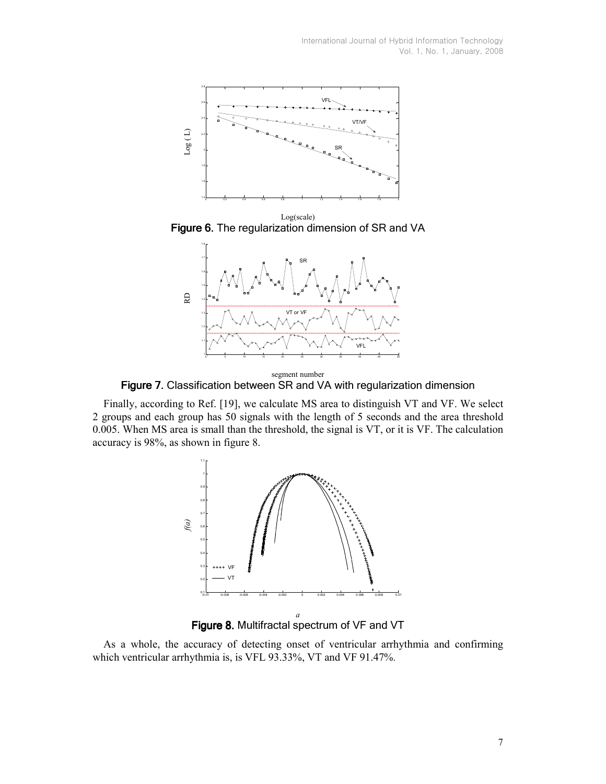

Log(scale) Figure 6. The regularization dimension of SR and VA



Figure 7. Classification between SR and VA with regularization dimension

Finally, according to Ref. [19], we calculate MS area to distinguish VT and VF. We select 2 groups and each group has 50 signals with the length of 5 seconds and the area threshold 0.005. When MS area is small than the threshold, the signal is VT, or it is VF. The calculation accuracy is 98%, as shown in figure 8.



Figure 8. Multifractal spectrum of VF and VT

As a whole, the accuracy of detecting onset of ventricular arrhythmia and confirming which ventricular arrhythmia is, is VFL 93.33%, VT and VF 91.47%.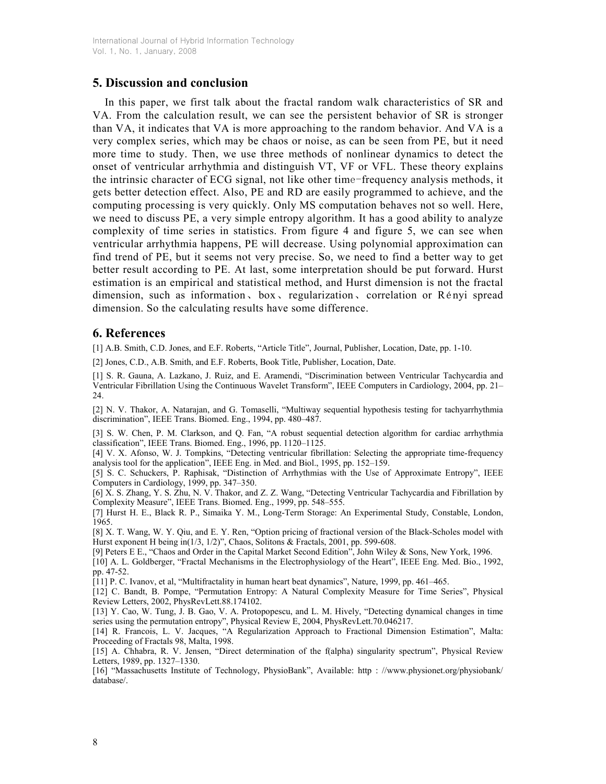# 5. Discussion and conclusion

In this paper, we first talk about the fractal random walk characteristics of SR and VA. From the calculation result, we can see the persistent behavior of SR is stronger than VA, it indicates that VA is more approaching to the random behavior. And VA is a very complex series, which may be chaos or noise, as can be seen from PE, but it need more time to study. Then, we use three methods of nonlinear dynamics to detect the onset of ventricular arrhythmia and distinguish VT, VF or VFL. These theory explains the intrinsic character of ECG signal, not like other time-frequency analysis methods, it gets better detection effect. Also, PE and RD are easily programmed to achieve, and the computing processing is very quickly. Only MS computation behaves not so well. Here, we need to discuss PE, a very simple entropy algorithm. It has a good ability to analyze complexity of time series in statistics. From figure 4 and figure 5, we can see when ventricular arrhythmia happens, PE will decrease. Using polynomial approximation can find trend of PE, but it seems not very precise. So, we need to find a better way to get better result according to PE. At last, some interpretation should be put forward. Hurst estimation is an empirical and statistical method, and Hurst dimension is not the fractal dimension, such as information、box、regularization、correlation or Rényi spread dimension. So the calculating results have some difference.

# 6. References

[1] A.B. Smith, C.D. Jones, and E.F. Roberts, "Article Title", Journal, Publisher, Location, Date, pp. 1-10.

[2] Jones, C.D., A.B. Smith, and E.F. Roberts, Book Title, Publisher, Location, Date.

[1] S. R. Gauna, A. Lazkano, J. Ruiz, and E. Aramendi, "Discrimination between Ventricular Tachycardia and Ventricular Fibrillation Using the Continuous Wavelet Transform", IEEE Computers in Cardiology, 2004, pp. 21– 24.

[2] N. V. Thakor, A. Natarajan, and G. Tomaselli, "Multiway sequential hypothesis testing for tachyarrhythmia discrimination", IEEE Trans. Biomed. Eng., 1994, pp. 480–487.

[3] S. W. Chen, P. M. Clarkson, and Q. Fan, "A robust sequential detection algorithm for cardiac arrhythmia classification", IEEE Trans. Biomed. Eng., 1996, pp. 1120–1125.

[4] V. X. Afonso, W. J. Tompkins, "Detecting ventricular fibrillation: Selecting the appropriate time-frequency analysis tool for the application", IEEE Eng. in Med. and Biol., 1995, pp. 152–159.

[5] S. C. Schuckers, P. Raphisak, "Distinction of Arrhythmias with the Use of Approximate Entropy", IEEE Computers in Cardiology, 1999, pp. 347–350.

[6] X. S. Zhang, Y. S. Zhu, N. V. Thakor, and Z. Z. Wang, "Detecting Ventricular Tachycardia and Fibrillation by Complexity Measure", IEEE Trans. Biomed. Eng., 1999, pp. 548–555.

[7] Hurst H. E., Black R. P., Simaika Y. M., Long-Term Storage: An Experimental Study, Constable, London, 1965.

[8] X. T. Wang, W. Y. Qiu, and E. Y. Ren, "Option pricing of fractional version of the Black-Scholes model with Hurst exponent H being in(1/3, 1/2)", Chaos, Solitons & Fractals, 2001, pp. 599-608.

[9] Peters E E., "Chaos and Order in the Capital Market Second Edition", John Wiley & Sons, New York, 1996.

[10] A. L. Goldberger, "Fractal Mechanisms in the Electrophysiology of the Heart", IEEE Eng. Med. Bio., 1992, pp. 47-52.

[11] P. C. Ivanov, et al, "Multifractality in human heart beat dynamics", Nature, 1999, pp. 461–465.

[12] C. Bandt, B. Pompe, "Permutation Entropy: A Natural Complexity Measure for Time Series", Physical Review Letters, 2002, PhysRevLett.88.174102.

[13] Y. Cao, W. Tung, J. B. Gao, V. A. Protopopescu, and L. M. Hively, "Detecting dynamical changes in time series using the permutation entropy", Physical Review E, 2004, PhysRevLett.70.046217.

[14] R. Francois, L. V. Jacques, "A Regularization Approach to Fractional Dimension Estimation", Malta: Proceeding of Fractals 98, Malta, 1998.

[15] A. Chhabra, R. V. Jensen, "Direct determination of the f(alpha) singularity spectrum", Physical Review Letters, 1989, pp. 1327–1330.

[16] "Massachusetts Institute of Technology, PhysioBank", Available: http : //www.physionet.org/physiobank/ database/.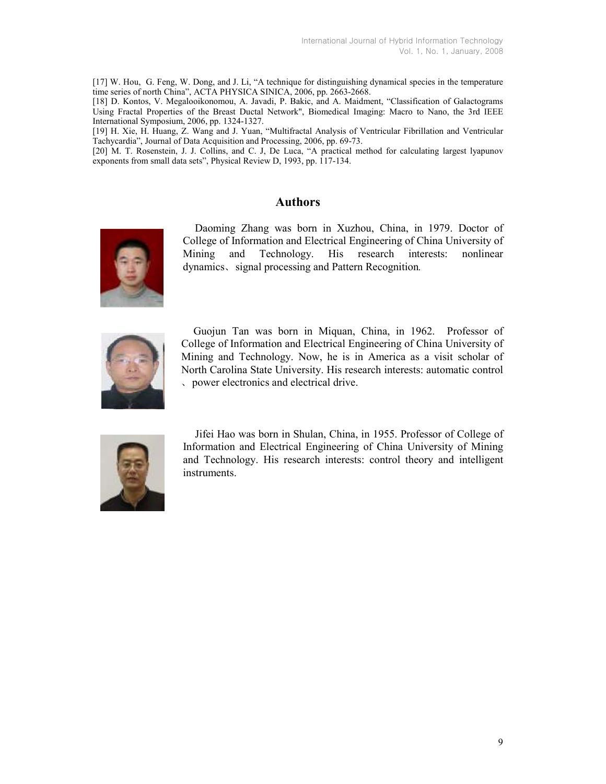[17] W. Hou, G. Feng, W. Dong, and J. Li, "A technique for distinguishing dynamical species in the temperature time series of north China", ACTA PHYSICA SINICA, 2006, pp. 2663-2668.

[18] D. Kontos, V. Megalooikonomou, A. Javadi, P. Bakic, and A. Maidment, "Classification of Galactograms Using Fractal Properties of the Breast Ductal Network", Biomedical Imaging: Macro to Nano, the 3rd IEEE International Symposium, 2006, pp. 1324-1327.

[19] H. Xie, H. Huang, Z. Wang and J. Yuan, "Multifractal Analysis of Ventricular Fibrillation and Ventricular Tachycardia", Journal of Data Acquisition and Processing, 2006, pp. 69-73.

[20] M. T. Rosenstein, J. J. Collins, and C. J, De Luca, "A practical method for calculating largest lyapunov exponents from small data sets", Physical Review D, 1993, pp. 117-134.

# Authors



Daoming Zhang was born in Xuzhou, China, in 1979. Doctor of College of Information and Electrical Engineering of China University of Mining and Technology. His research interests: nonlinear dynamics、signal processing and Pattern Recognition.



Guojun Tan was born in Miquan, China, in 1962. Professor of College of Information and Electrical Engineering of China University of Mining and Technology. Now, he is in America as a visit scholar of North Carolina State University. His research interests: automatic control 、power electronics and electrical drive.



Jifei Hao was born in Shulan, China, in 1955. Professor of College of Information and Electrical Engineering of China University of Mining and Technology. His research interests: control theory and intelligent instruments.